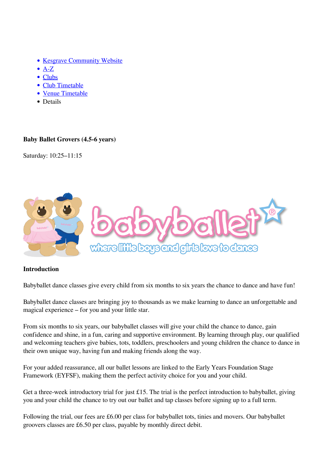- [Kesgrave Community Website](https://www.kesgrave.org.uk/kcw-home.html)
- $\bullet$  [A-Z](https://www.kesgrave.org.uk/kcw-a-z-info-link.html)
- [Clubs](https://www.kesgrave.org.uk/kcw-clubs-and-organisations.html)
- [Club Timetable](https://www.kesgrave.org.uk/kcw-club-timetable.html)
- [Venue Timetable](https://www.kesgrave.org.uk/kcw-club-timetable-by-location.html)
- Details

## **Baby Ballet Grovers (4.5-6 years)**

Saturday: 10:25–11:15



## **Introduction**

Babyballet dance classes give every child from six months to six years the chance to dance and have fun!

Babyballet dance classes are bringing joy to thousands as we make learning to dance an unforgettable and magical experience – for you and your little star.

From six months to six years, our babyballet classes will give your child the chance to dance, gain confidence and shine, in a fun, caring and supportive environment. By learning through play, our qualified and welcoming teachers give babies, tots, toddlers, preschoolers and young children the chance to dance in their own unique way, having fun and making friends along the way.

For your added reassurance, all our ballet lessons are linked to the Early Years Foundation Stage Framework (EYFSF), making them the perfect activity choice for you and your child.

Get a three-week introductory trial for just £15. The trial is the perfect introduction to babyballet, giving you and your child the chance to try out our ballet and tap classes before signing up to a full term.

Following the trial, our fees are £6.00 per class for babyballet tots, tinies and movers. Our babyballet groovers classes are £6.50 per class, payable by monthly direct debit.